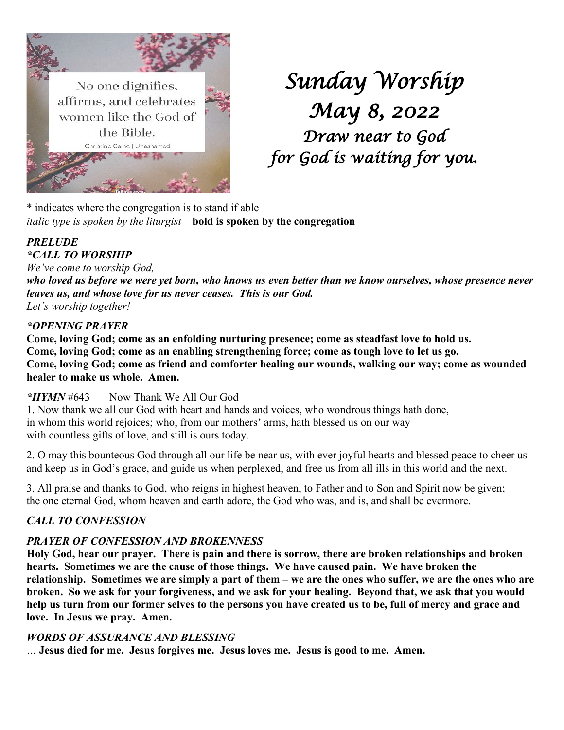

# *Sunday Worship May 8, 2022 Draw near to God for God is waiting for you.*

\* indicates where the congregation is to stand if able *italic type is spoken by the liturgist –* **bold is spoken by the congregation**

## *PRELUDE \*CALL TO WORSHIP*

*We've come to worship God,*

*who loved us before we were yet born, who knows us even better than we know ourselves, whose presence never leaves us, and whose love for us never ceases. This is our God. Let's worship together!*

## *\*OPENING PRAYER*

**Come, loving God; come as an enfolding nurturing presence; come as steadfast love to hold us. Come, loving God; come as an enabling strengthening force; come as tough love to let us go. Come, loving God; come as friend and comforter healing our wounds, walking our way; come as wounded healer to make us whole. Amen.**

## *\*HYMN* #643 Now Thank We All Our God

1. Now thank we all our God with heart and hands and voices, who wondrous things hath done, in whom this world rejoices; who, from our mothers' arms, hath blessed us on our way with countless gifts of love, and still is ours today.

2. O may this bounteous God through all our life be near us, with ever joyful hearts and blessed peace to cheer us and keep us in God's grace, and guide us when perplexed, and free us from all ills in this world and the next.

3. All praise and thanks to God, who reigns in highest heaven, to Father and to Son and Spirit now be given; the one eternal God, whom heaven and earth adore, the God who was, and is, and shall be evermore.

## *CALL TO CONFESSION*

## *PRAYER OF CONFESSION AND BROKENNESS*

**Holy God, hear our prayer. There is pain and there is sorrow, there are broken relationships and broken hearts. Sometimes we are the cause of those things. We have caused pain. We have broken the relationship. Sometimes we are simply a part of them – we are the ones who suffer, we are the ones who are broken. So we ask for your forgiveness, and we ask for your healing. Beyond that, we ask that you would help us turn from our former selves to the persons you have created us to be, full of mercy and grace and love. In Jesus we pray. Amen.**

## *WORDS OF ASSURANCE AND BLESSING*

*…* **Jesus died for me. Jesus forgives me. Jesus loves me. Jesus is good to me. Amen.**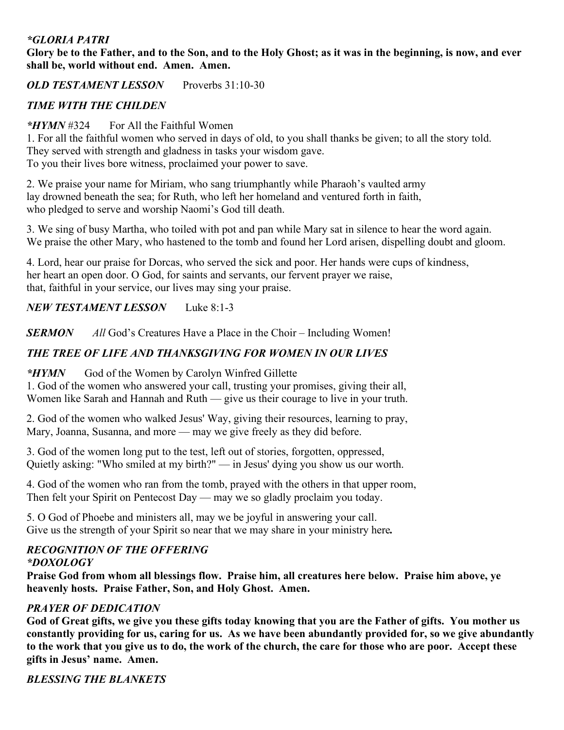## *\*GLORIA PATRI*

**Glory be to the Father, and to the Son, and to the Holy Ghost; as it was in the beginning, is now, and ever shall be, world without end. Amen. Amen.**

*OLD TESTAMENT LESSON* Proverbs 31:10-30

## *TIME WITH THE CHILDEN*

## *\*HYMN* #324 For All the Faithful Women

1. For all the faithful women who served in days of old, to you shall thanks be given; to all the story told. They served with strength and gladness in tasks your wisdom gave. To you their lives bore witness, proclaimed your power to save.

2. We praise your name for Miriam, who sang triumphantly while Pharaoh's vaulted army lay drowned beneath the sea; for Ruth, who left her homeland and ventured forth in faith, who pledged to serve and worship Naomi's God till death.

3. We sing of busy Martha, who toiled with pot and pan while Mary sat in silence to hear the word again. We praise the other Mary, who hastened to the tomb and found her Lord arisen, dispelling doubt and gloom.

4. Lord, hear our praise for Dorcas, who served the sick and poor. Her hands were cups of kindness, her heart an open door. O God, for saints and servants, our fervent prayer we raise, that, faithful in your service, our lives may sing your praise.

## *NEW TESTAMENT LESSON* Luke 8:1-3

**SERMON** *All* God's Creatures Have a Place in the Choir – Including Women!

## *THE TREE OF LIFE AND THANKSGIVING FOR WOMEN IN OUR LIVES*

*\*HYMN* God of the Women by Carolyn Winfred Gillette

1. God of the women who answered your call, trusting your promises, giving their all, Women like Sarah and Hannah and Ruth — give us their courage to live in your truth.

2. God of the women who walked Jesus' Way, giving their resources, learning to pray, Mary, Joanna, Susanna, and more — may we give freely as they did before.

3. God of the women long put to the test, left out of stories, forgotten, oppressed, Quietly asking: "Who smiled at my birth?" — in Jesus' dying you show us our worth.

4. God of the women who ran from the tomb, prayed with the others in that upper room, Then felt your Spirit on Pentecost Day — may we so gladly proclaim you today.

5. O God of Phoebe and ministers all, may we be joyful in answering your call. Give us the strength of your Spirit so near that we may share in your ministry here*.*

#### *RECOGNITION OF THE OFFERING \*DOXOLOGY*

**Praise God from whom all blessings flow. Praise him, all creatures here below. Praise him above, ye heavenly hosts. Praise Father, Son, and Holy Ghost. Amen.**

## *PRAYER OF DEDICATION*

**God of Great gifts, we give you these gifts today knowing that you are the Father of gifts. You mother us constantly providing for us, caring for us. As we have been abundantly provided for, so we give abundantly to the work that you give us to do, the work of the church, the care for those who are poor. Accept these gifts in Jesus' name. Amen.**

*BLESSING THE BLANKETS*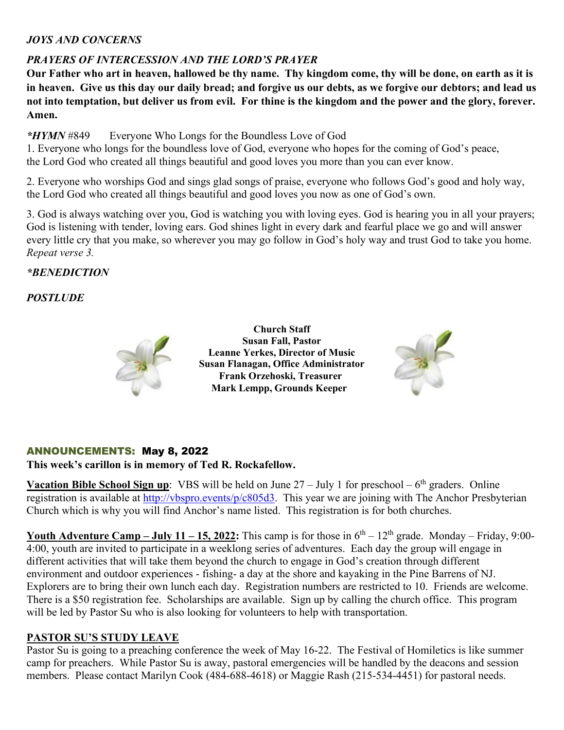## *JOYS AND CONCERNS*

## *PRAYERS OF INTERCESSION AND THE LORD'S PRAYER*

**Our Father who art in heaven, hallowed be thy name. Thy kingdom come, thy will be done, on earth as it is in heaven. Give us this day our daily bread; and forgive us our debts, as we forgive our debtors; and lead us not into temptation, but deliver us from evil. For thine is the kingdom and the power and the glory, forever. Amen.**

*\*HYMN* #849 Everyone Who Longs for the Boundless Love of God

1. Everyone who longs for the boundless love of God, everyone who hopes for the coming of God's peace, the Lord God who created all things beautiful and good loves you more than you can ever know.

2. Everyone who worships God and sings glad songs of praise, everyone who follows God's good and holy way, the Lord God who created all things beautiful and good loves you now as one of God's own.

3. God is always watching over you, God is watching you with loving eyes. God is hearing you in all your prayers; God is listening with tender, loving ears. God shines light in every dark and fearful place we go and will answer every little cry that you make, so wherever you may go follow in God's holy way and trust God to take you home. *Repeat verse 3.*

## *\*BENEDICTION*

## *POSTLUDE*



**Church Staff Susan Fall, Pastor Leanne Yerkes, Director of Music Susan Flanagan, Office Administrator Frank Orzehoski, Treasurer Mark Lempp, Grounds Keeper**



## ANNOUNCEMENTS: May 8, 2022

## **This week's carillon is in memory of Ted R. Rockafellow.**

**Vacation Bible School Sign up**: VBS will be held on June  $27 -$  July 1 for preschool  $-6$ <sup>th</sup> graders. Online registration is available at [http://vbspro.events/p/c805d3.](http://vbspro.events/p/c805d3) This year we are joining with The Anchor Presbyterian Church which is why you will find Anchor's name listed. This registration is for both churches.

**Youth Adventure Camp – July 11 – 15, 2022:** This camp is for those in  $6^{th}$  – 12<sup>th</sup> grade. Monday – Friday, 9:00-4:00, youth are invited to participate in a weeklong series of adventures. Each day the group will engage in different activities that will take them beyond the church to engage in God's creation through different environment and outdoor experiences - fishing- a day at the shore and kayaking in the Pine Barrens of NJ. Explorers are to bring their own lunch each day. Registration numbers are restricted to 10. Friends are welcome. There is a \$50 registration fee. Scholarships are available. Sign up by calling the church office. This program will be led by Pastor Su who is also looking for volunteers to help with transportation.

## **PASTOR SU'S STUDY LEAVE**

Pastor Su is going to a preaching conference the week of May 16-22. The Festival of Homiletics is like summer camp for preachers. While Pastor Su is away, pastoral emergencies will be handled by the deacons and session members. Please contact Marilyn Cook (484-688-4618) or Maggie Rash (215-534-4451) for pastoral needs.